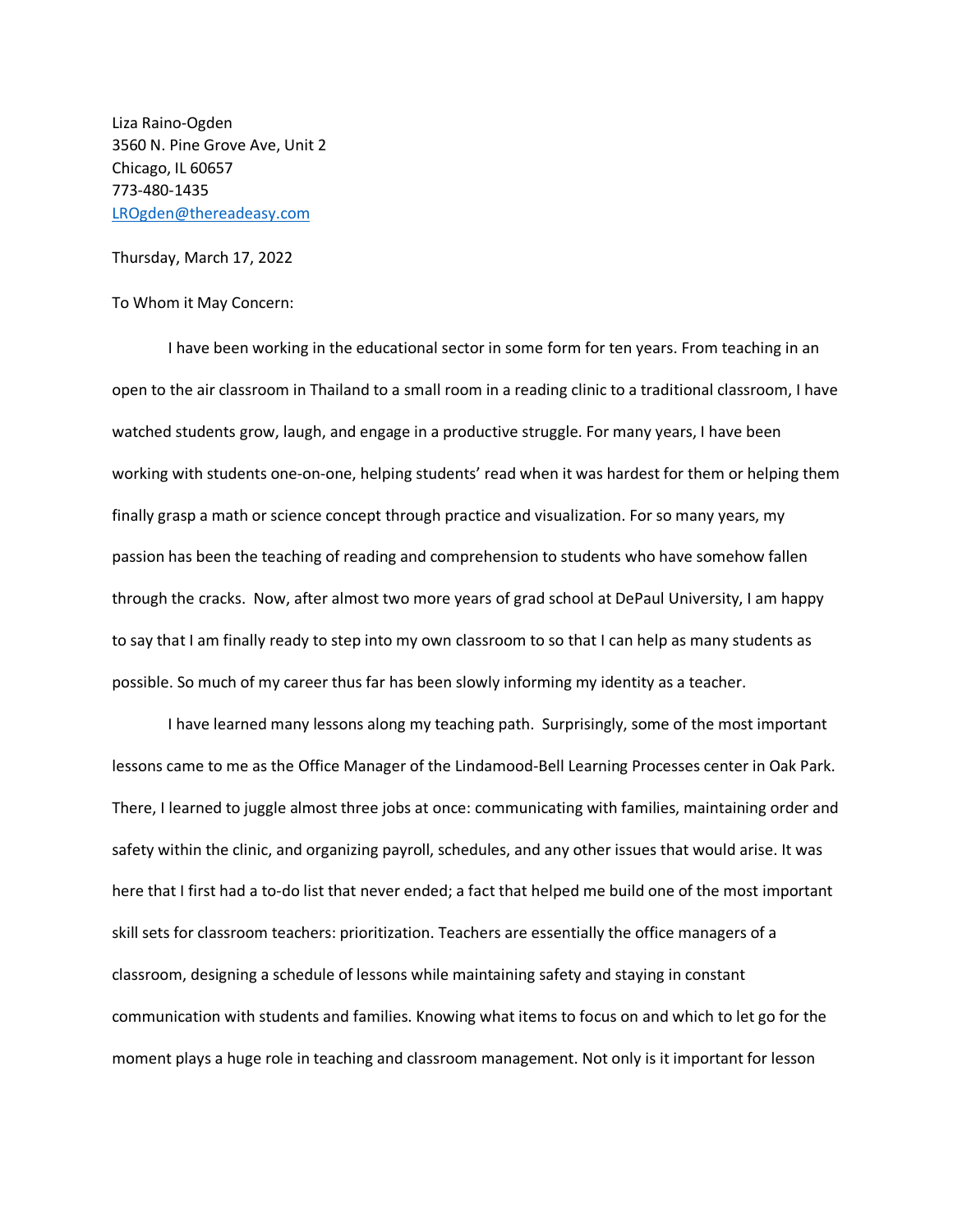Liza Raino-Ogden 3560 N. Pine Grove Ave, Unit 2 Chicago, IL 60657 773-480-1435 [LROgden@thereadeasy.com](mailto:LROgden@thereadeasy.com)

Thursday, March 17, 2022

## To Whom it May Concern:

I have been working in the educational sector in some form for ten years. From teaching in an open to the air classroom in Thailand to a small room in a reading clinic to a traditional classroom, I have watched students grow, laugh, and engage in a productive struggle. For many years, I have been working with students one-on-one, helping students' read when it was hardest for them or helping them finally grasp a math or science concept through practice and visualization. For so many years, my passion has been the teaching of reading and comprehension to students who have somehow fallen through the cracks. Now, after almost two more years of grad school at DePaul University, I am happy to say that I am finally ready to step into my own classroom to so that I can help as many students as possible. So much of my career thus far has been slowly informing my identity as a teacher.

I have learned many lessons along my teaching path. Surprisingly, some of the most important lessons came to me as the Office Manager of the Lindamood-Bell Learning Processes center in Oak Park. There, I learned to juggle almost three jobs at once: communicating with families, maintaining order and safety within the clinic, and organizing payroll, schedules, and any other issues that would arise. It was here that I first had a to-do list that never ended; a fact that helped me build one of the most important skill sets for classroom teachers: prioritization. Teachers are essentially the office managers of a classroom, designing a schedule of lessons while maintaining safety and staying in constant communication with students and families. Knowing what items to focus on and which to let go for the moment plays a huge role in teaching and classroom management. Not only is it important for lesson